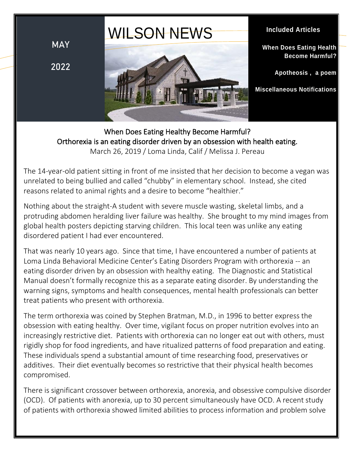# WILSON NEWS

**MAY**

**2022**



## **Included Articles**

**When Does Eating Health Become Harmful?**

**Apotheosis , a poem**

**Miscellaneous Notifications**

When Does Eating Healthy Become Harmful? Orthorexia is an eating disorder driven by an obsession with health eating. March 26, 2019 / Loma Linda, Calif / Melissa J. Pereau

The 14-year-old patient sitting in front of me insisted that her decision to become a vegan was unrelated to being bullied and called "chubby" in elementary school. Instead, she cited reasons related to animal rights and a desire to become "healthier."

Nothing about the straight-A student with severe muscle wasting, skeletal limbs, and a protruding abdomen heralding liver failure was healthy. She brought to my mind images from global health posters depicting starving children. This local teen was unlike any eating disordered patient I had ever encountered.

That was nearly 10 years ago. Since that time, I have encountered a number of patients at Loma Linda Behavioral Medicine Center's Eating Disorders Program with orthorexia -- an eating disorder driven by an obsession with healthy eating. The Diagnostic and Statistical Manual doesn't formally recognize this as a separate eating disorder. By understanding the warning signs, symptoms and health consequences, mental health professionals can better treat patients who present with orthorexia.

The term orthorexia was coined by Stephen Bratman, M.D., in 1996 to better express the obsession with eating healthy. Over time, vigilant focus on proper nutrition evolves into an increasingly restrictive diet. Patients with orthorexia can no longer eat out with others, must rigidly shop for food ingredients, and have ritualized patterns of food preparation and eating. These individuals spend a substantial amount of time researching food, preservatives or additives. Their diet eventually becomes so restrictive that their physical health becomes compromised.

There is significant crossover between orthorexia, anorexia, and obsessive compulsive disorder (OCD). Of patients with anorexia, up to 30 percent simultaneously have OCD. A recent study of patients with orthorexia showed limited abilities to process information and problem solve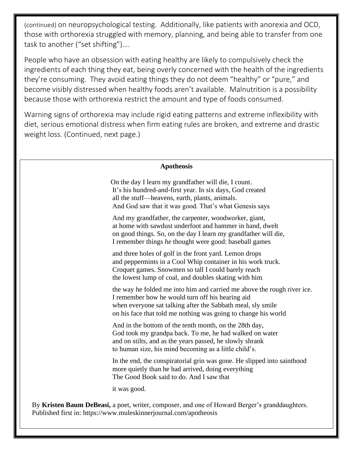(continued) on neuropsychological testing. Additionally, like patients with anorexia and OCD, those with orthorexia struggled with memory, planning, and being able to transfer from one task to another ("set shifting")….

People who have an obsession with eating healthy are likely to compulsively check the ingredients of each thing they eat, being overly concerned with the health of the ingredients they're consuming. They avoid eating things they do not deem "healthy" or "pure," and become visibly distressed when healthy foods aren't available. Malnutrition is a possibility because those with orthorexia restrict the amount and type of foods consumed.

Warning signs of orthorexia may include rigid eating patterns and extreme inflexibility with diet, serious emotional distress when firm eating rules are broken, and extreme and drastic weight loss. (Continued, next page.)

## **Apotheosis**

On the day I learn my grandfather will die, I count. It's his hundred-and-first year. In six days, God created all the stuff—heavens, earth, plants, animals. And God saw that it was good. That's what Genesis says.

And my grandfather, the carpenter, woodworker, giant, at home with sawdust underfoot and hammer in hand, dwelt on good things. So, on the day I learn my grandfather will die, I remember things *he* thought were good: baseball games

and three holes of golf in the front yard. Lemon drops and peppermints in a Cool Whip container in his work truck. Croquet games. Snowmen so tall I could barely reach the lowest lump of coal, and doubles skating with him,

the way he folded me into him and carried me above the rough river ice. I remember how he would turn off his hearing aid when everyone sat talking after the Sabbath meal, sly smile on his face that told me nothing was going to change his world.

And in the bottom of the tenth month, on the 28th day, God took my grandpa back. To me, he had walked on water and on stilts, and as the years passed, he slowly shrank to human size, his mind becoming as a little child's.

In the end, the conspiratorial grin was gone. He slipped into sainthood more quietly than he had arrived, doing everything The Good Book said to do. And I saw that

it was good.

By **Kristen Baum DeBeasi,** a poet, writer, composer, and one of Howard Berger's granddaughters. Published first in: https://www.muleskinnerjournal.com/apotheosis